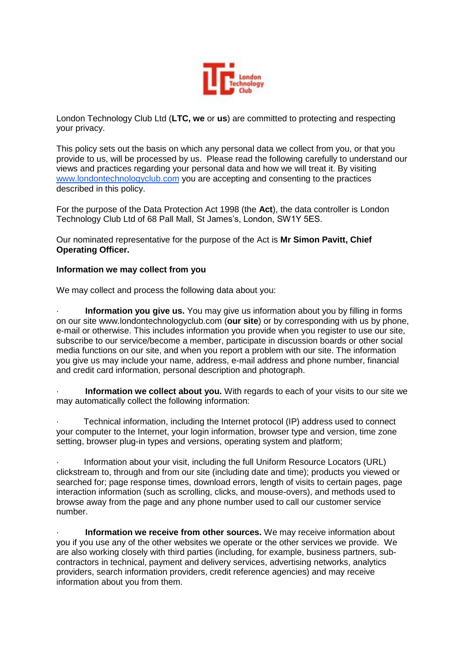

London Technology Club Ltd (**LTC, we** or **us**) are committed to protecting and respecting your privacy.

This policy sets out the basis on which any personal data we collect from you, or that you provide to us, will be processed by us. Please read the following carefully to understand our views and practices regarding your personal data and how we will treat it. By visiting www.londontechnologyclub.com you are accepting and consenting to the practices described in this policy.

For the purpose of the Data Protection Act 1998 (the **Act**), the data controller is London Technology Club Ltd of 68 Pall Mall, St James's, London, SW1Y 5ES.

Our nominated representative for the purpose of the Act is **Mr Simon Pavitt, Chief Operating Officer.** 

## **Information we may collect from you**

We may collect and process the following data about you:

**Information you give us.** You may give us information about you by filling in forms on our site www.londontechnologyclub.com (**our site**) or by corresponding with us by phone, e-mail or otherwise. This includes information you provide when you register to use our site, subscribe to our service/become a member, participate in discussion boards or other social media functions on our site, and when you report a problem with our site. The information you give us may include your name, address, e-mail address and phone number, financial and credit card information, personal description and photograph.

**Information we collect about you.** With regards to each of your visits to our site we may automatically collect the following information:

· Technical information, including the Internet protocol (IP) address used to connect your computer to the Internet, your login information, browser type and version, time zone setting, browser plug-in types and versions, operating system and platform;

· Information about your visit, including the full Uniform Resource Locators (URL) clickstream to, through and from our site (including date and time); products you viewed or searched for; page response times, download errors, length of visits to certain pages, page interaction information (such as scrolling, clicks, and mouse-overs), and methods used to browse away from the page and any phone number used to call our customer service number.

· **Information we receive from other sources.** We may receive information about you if you use any of the other websites we operate or the other services we provide. We are also working closely with third parties (including, for example, business partners, subcontractors in technical, payment and delivery services, advertising networks, analytics providers, search information providers, credit reference agencies) and may receive information about you from them.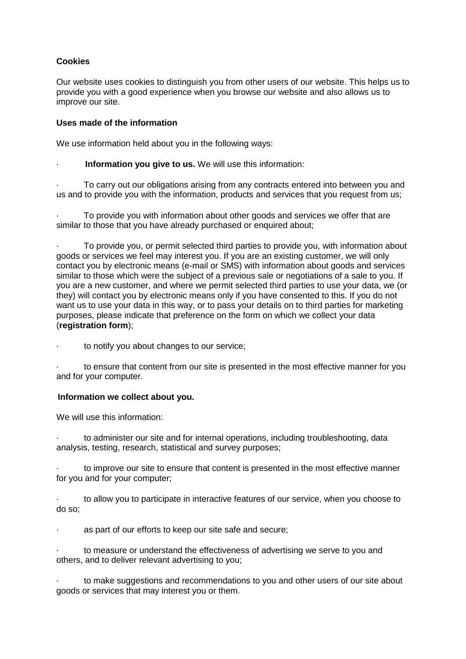# **Cookies**

Our website uses cookies to distinguish you from other users of our website. This helps us to provide you with a good experience when you browse our website and also allows us to improve our site.

# **Uses made of the information**

We use information held about you in the following ways:

**Information you give to us.** We will use this information:

To carry out our obligations arising from any contracts entered into between you and us and to provide you with the information, products and services that you request from us;

· To provide you with information about other goods and services we offer that are similar to those that you have already purchased or enquired about;

· To provide you, or permit selected third parties to provide you, with information about goods or services we feel may interest you. If you are an existing customer, we will only contact you by electronic means (e-mail or SMS) with information about goods and services similar to those which were the subject of a previous sale or negotiations of a sale to you. If you are a new customer, and where we permit selected third parties to use your data, we (or they) will contact you by electronic means only if you have consented to this. If you do not want us to use your data in this way, or to pass your details on to third parties for marketing purposes, please indicate that preference on the form on which we collect your data (**registration form**);

to notify you about changes to our service;

to ensure that content from our site is presented in the most effective manner for you and for your computer.

## **Information we collect about you.**

We will use this information:

to administer our site and for internal operations, including troubleshooting, data analysis, testing, research, statistical and survey purposes;

to improve our site to ensure that content is presented in the most effective manner for you and for your computer;

· to allow you to participate in interactive features of our service, when you choose to do so;

as part of our efforts to keep our site safe and secure;

to measure or understand the effectiveness of advertising we serve to you and others, and to deliver relevant advertising to you;

· to make suggestions and recommendations to you and other users of our site about goods or services that may interest you or them.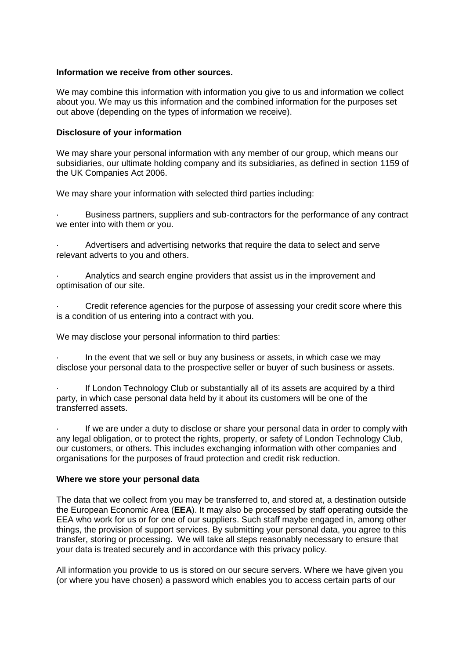### **Information we receive from other sources.**

We may combine this information with information you give to us and information we collect about you. We may us this information and the combined information for the purposes set out above (depending on the types of information we receive).

### **Disclosure of your information**

We may share your personal information with any member of our group, which means our subsidiaries, our ultimate holding company and its subsidiaries, as defined in section 1159 of the UK Companies Act 2006.

We may share your information with selected third parties including:

· Business partners, suppliers and sub-contractors for the performance of any contract we enter into with them or you.

· Advertisers and advertising networks that require the data to select and serve relevant adverts to you and others.

Analytics and search engine providers that assist us in the improvement and optimisation of our site.

Credit reference agencies for the purpose of assessing your credit score where this is a condition of us entering into a contract with you.

We may disclose your personal information to third parties:

In the event that we sell or buy any business or assets, in which case we may disclose your personal data to the prospective seller or buyer of such business or assets.

If London Technology Club or substantially all of its assets are acquired by a third party, in which case personal data held by it about its customers will be one of the transferred assets.

If we are under a duty to disclose or share your personal data in order to comply with any legal obligation, or to protect the rights, property, or safety of London Technology Club, our customers, or others. This includes exchanging information with other companies and organisations for the purposes of fraud protection and credit risk reduction.

#### **Where we store your personal data**

The data that we collect from you may be transferred to, and stored at, a destination outside the European Economic Area (**EEA**). It may also be processed by staff operating outside the EEA who work for us or for one of our suppliers. Such staff maybe engaged in, among other things, the provision of support services. By submitting your personal data, you agree to this transfer, storing or processing. We will take all steps reasonably necessary to ensure that your data is treated securely and in accordance with this privacy policy.

All information you provide to us is stored on our secure servers. Where we have given you (or where you have chosen) a password which enables you to access certain parts of our